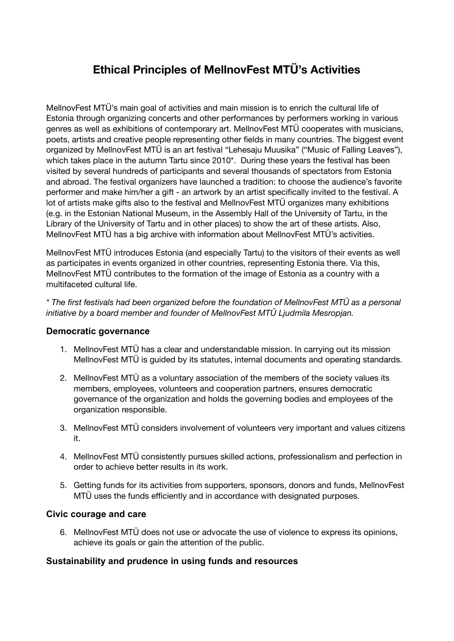# **Ethical Principles of MellnovFest MTÜ's Activities**

MellnovFest MTÜ's main goal of activities and main mission is to enrich the cultural life of Estonia through organizing concerts and other performances by performers working in various genres as well as exhibitions of contemporary art. MellnovFest MTÜ cooperates with musicians, poets, artists and creative people representing other fields in many countries. The biggest event organized by MellnovFest MTÜ is an art festival "Lehesaju Muusika" ("Music of Falling Leaves"), which takes place in the autumn Tartu since 2010\*. During these years the festival has been visited by several hundreds of participants and several thousands of spectators from Estonia and abroad. The festival organizers have launched a tradition: to choose the audience's favorite performer and make him/her a gift - an artwork by an artist specifically invited to the festival. A lot of artists make gifts also to the festival and MellnovFest MTÜ organizes many exhibitions (e.g. in the Estonian National Museum, in the Assembly Hall of the University of Tartu, in the Library of the University of Tartu and in other places) to show the art of these artists. Also, MellnovFest MTÜ has a big archive with information about MellnovFest MTÜ's activities.

MellnovFest MTÜ introduces Estonia (and especially Tartu) to the visitors of their events as well as participates in events organized in other countries, representing Estonia there. Via this, MellnovFest MTÜ contributes to the formation of the image of Estonia as a country with a multifaceted cultural life.

*\* The first festivals had been organized before the foundation of MellnovFest MTÜ as a personal initiative by a board member and founder of MellnovFest MTÜ Ljudmila Mesropjan.*

### **Democratic governance**

- 1. MellnovFest MTÜ has a clear and understandable mission. In carrying out its mission MellnovFest MTÜ is guided by its statutes, internal documents and operating standards.
- 2. MellnovFest MTÜ as a voluntary association of the members of the society values its members, employees, volunteers and cooperation partners, ensures democratic governance of the organization and holds the governing bodies and employees of the organization responsible.
- 3. MellnovFest MTÜ considers involvement of volunteers very important and values citizens it.
- 4. MellnovFest MTÜ consistently pursues skilled actions, professionalism and perfection in order to achieve better results in its work.
- 5. Getting funds for its activities from supporters, sponsors, donors and funds, MellnovFest MTÜ uses the funds efficiently and in accordance with designated purposes.

### **Civic courage and care**

6. MellnovFest MTÜ does not use or advocate the use of violence to express its opinions, achieve its goals or gain the attention of the public.

### **Sustainability and prudence in using funds and resources**